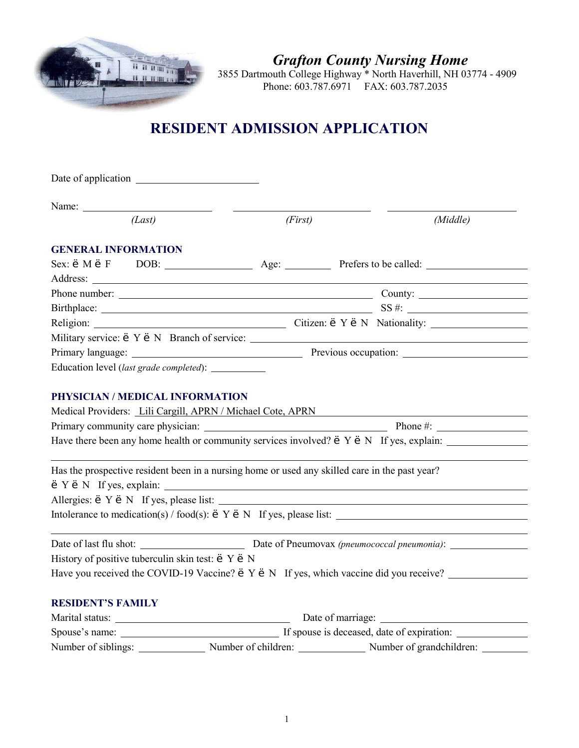

*Grafton County Nursing Home*

3855 Dartmouth College Highway \* North Haverhill, NH 03774 - 4909 Phone: 603.787.6971 FAX: 603.787.2035

# **RESIDENT ADMISSION APPLICATION**

| Name:                      |                                                                                                |         |                                                                                                     |          |
|----------------------------|------------------------------------------------------------------------------------------------|---------|-----------------------------------------------------------------------------------------------------|----------|
|                            | (Last)                                                                                         | (First) |                                                                                                     | (Middle) |
| <b>GENERAL INFORMATION</b> |                                                                                                |         |                                                                                                     |          |
|                            |                                                                                                |         |                                                                                                     |          |
|                            |                                                                                                |         |                                                                                                     |          |
|                            |                                                                                                |         |                                                                                                     |          |
|                            |                                                                                                |         |                                                                                                     |          |
|                            |                                                                                                |         |                                                                                                     |          |
|                            |                                                                                                |         | Military service: 'Y' N Branch of service:                                                          |          |
|                            |                                                                                                |         |                                                                                                     |          |
|                            | Education level (last grade completed): _________                                              |         |                                                                                                     |          |
|                            |                                                                                                |         | Have there been any home health or community services involved? $'Y'N$ If yes, explain:             |          |
|                            | Has the prospective resident been in a nursing home or used any skilled care in the past year? |         | $'Y'$ N If yes, explain: $\sqrt{ }$                                                                 |          |
|                            |                                                                                                |         |                                                                                                     |          |
|                            |                                                                                                |         | Intolerance to medication(s) / food(s): ' $Y'$ N If yes, please list:                               |          |
|                            |                                                                                                |         |                                                                                                     |          |
|                            | History of positive tuberculin skin test: 'Y' N                                                |         |                                                                                                     |          |
|                            |                                                                                                |         | Have you received the COVID-19 Vaccine? ' Y ' N If yes, which vaccine did you receive? ____________ |          |
| <b>RESIDENT'S FAMILY</b>   |                                                                                                |         |                                                                                                     |          |
|                            |                                                                                                |         |                                                                                                     |          |
|                            |                                                                                                |         |                                                                                                     |          |
|                            |                                                                                                |         | Number of siblings: Number of children: Number of grandchildren: Number of grandchildren:           |          |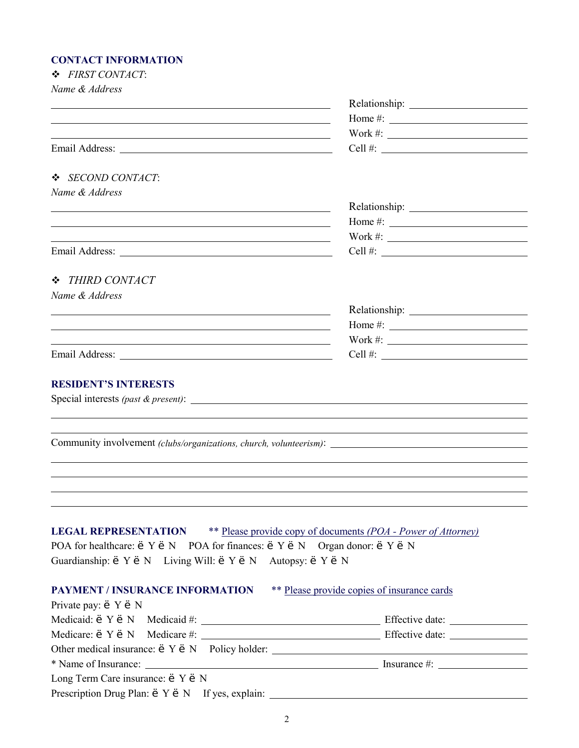### **CONTACT INFORMATION**

| <b>CONTACT INFORMATION</b>                                                                                            |                                                                                                                                                                                                                                                                                                                       |
|-----------------------------------------------------------------------------------------------------------------------|-----------------------------------------------------------------------------------------------------------------------------------------------------------------------------------------------------------------------------------------------------------------------------------------------------------------------|
| ❖ FIRST CONTACT:                                                                                                      |                                                                                                                                                                                                                                                                                                                       |
| Name & Address                                                                                                        |                                                                                                                                                                                                                                                                                                                       |
| and the control of the control of the control of the control of the control of the control of the control of the      |                                                                                                                                                                                                                                                                                                                       |
| <u> 1989 - Johann Stoff, deutscher Stoff, der Stoff, der Stoff, der Stoff, der Stoff, der Stoff, der Stoff, der S</u> | Home #: $\frac{1}{2}$ = $\frac{1}{2}$ = $\frac{1}{2}$ = $\frac{1}{2}$ = $\frac{1}{2}$ = $\frac{1}{2}$ = $\frac{1}{2}$ = $\frac{1}{2}$ = $\frac{1}{2}$ = $\frac{1}{2}$ = $\frac{1}{2}$ = $\frac{1}{2}$ = $\frac{1}{2}$ = $\frac{1}{2}$ = $\frac{1}{2}$ = $\frac{1}{2}$ = $\frac{1}{2}$ = $\frac{1}{2}$                 |
|                                                                                                                       | Work #: $\qquad \qquad$                                                                                                                                                                                                                                                                                               |
|                                                                                                                       |                                                                                                                                                                                                                                                                                                                       |
| ❖ SECOND CONTACT:                                                                                                     |                                                                                                                                                                                                                                                                                                                       |
| Name & Address                                                                                                        |                                                                                                                                                                                                                                                                                                                       |
|                                                                                                                       |                                                                                                                                                                                                                                                                                                                       |
| <u> 1989 - Johann Barbara, martxa alemaniar argumento este alemaniar alemaniar alemaniar alemaniar alemaniar al</u>   | Home #: $\frac{1}{2}$ = $\frac{1}{2}$ = $\frac{1}{2}$ = $\frac{1}{2}$ = $\frac{1}{2}$ = $\frac{1}{2}$ = $\frac{1}{2}$ = $\frac{1}{2}$ = $\frac{1}{2}$ = $\frac{1}{2}$ = $\frac{1}{2}$ = $\frac{1}{2}$ = $\frac{1}{2}$ = $\frac{1}{2}$ = $\frac{1}{2}$ = $\frac{1}{2}$ = $\frac{1}{2}$ = $\frac{1}{2}$                 |
| <u> 1989 - Johann Barnett, fransk politiker (d. 1989)</u>                                                             | Work #: $\_$                                                                                                                                                                                                                                                                                                          |
|                                                                                                                       | Cell #: $\frac{1}{2}$ $\frac{1}{2}$ $\frac{1}{2}$ $\frac{1}{2}$ $\frac{1}{2}$ $\frac{1}{2}$ $\frac{1}{2}$ $\frac{1}{2}$ $\frac{1}{2}$ $\frac{1}{2}$ $\frac{1}{2}$ $\frac{1}{2}$ $\frac{1}{2}$ $\frac{1}{2}$ $\frac{1}{2}$ $\frac{1}{2}$ $\frac{1}{2}$ $\frac{1}{2}$ $\frac{1}{2}$ $\frac{1}{2}$ $\frac{1}{2}$ $\frac$ |
|                                                                                                                       |                                                                                                                                                                                                                                                                                                                       |
| ❖ THIRD CONTACT                                                                                                       |                                                                                                                                                                                                                                                                                                                       |
| Name & Address                                                                                                        |                                                                                                                                                                                                                                                                                                                       |
|                                                                                                                       |                                                                                                                                                                                                                                                                                                                       |
| the contract of the contract of the contract of the contract of the contract of the contract of the contract of       | Home #: $\frac{1}{2}$ = $\frac{1}{2}$ = $\frac{1}{2}$ = $\frac{1}{2}$ = $\frac{1}{2}$ = $\frac{1}{2}$ = $\frac{1}{2}$ = $\frac{1}{2}$ = $\frac{1}{2}$ = $\frac{1}{2}$ = $\frac{1}{2}$ = $\frac{1}{2}$ = $\frac{1}{2}$ = $\frac{1}{2}$ = $\frac{1}{2}$ = $\frac{1}{2}$ = $\frac{1}{2}$ = $\frac{1}{2}$                 |
|                                                                                                                       | Work #: $\qquad \qquad$                                                                                                                                                                                                                                                                                               |
|                                                                                                                       |                                                                                                                                                                                                                                                                                                                       |
|                                                                                                                       |                                                                                                                                                                                                                                                                                                                       |
| <b>RESIDENT'S INTERESTS</b>                                                                                           |                                                                                                                                                                                                                                                                                                                       |
|                                                                                                                       |                                                                                                                                                                                                                                                                                                                       |
|                                                                                                                       |                                                                                                                                                                                                                                                                                                                       |
|                                                                                                                       |                                                                                                                                                                                                                                                                                                                       |
|                                                                                                                       | Community involvement (clubs/organizations, church, volunteerism): ________________________________                                                                                                                                                                                                                   |
|                                                                                                                       |                                                                                                                                                                                                                                                                                                                       |
|                                                                                                                       |                                                                                                                                                                                                                                                                                                                       |
|                                                                                                                       |                                                                                                                                                                                                                                                                                                                       |
|                                                                                                                       |                                                                                                                                                                                                                                                                                                                       |
|                                                                                                                       |                                                                                                                                                                                                                                                                                                                       |
| <b>LEGAL REPRESENTATION</b> ** Please provide copy of documents (POA - Power of Attorney)                             |                                                                                                                                                                                                                                                                                                                       |
| POA for healthcare: 'Y' N POA for finances: 'Y' N Organ donor: 'Y' N                                                  |                                                                                                                                                                                                                                                                                                                       |
| Guardianship: ' Y ' N Living Will: ' Y ' N Autopsy: ' Y ' N                                                           |                                                                                                                                                                                                                                                                                                                       |
|                                                                                                                       |                                                                                                                                                                                                                                                                                                                       |
| <b>PAYMENT / INSURANCE INFORMATION</b> ** Please provide copies of insurance cards                                    |                                                                                                                                                                                                                                                                                                                       |
| Private pay: 'Y' N                                                                                                    |                                                                                                                                                                                                                                                                                                                       |
|                                                                                                                       |                                                                                                                                                                                                                                                                                                                       |
|                                                                                                                       |                                                                                                                                                                                                                                                                                                                       |
|                                                                                                                       |                                                                                                                                                                                                                                                                                                                       |
|                                                                                                                       |                                                                                                                                                                                                                                                                                                                       |

Long Term Care insurance: ' Y ' N

Prescription Drug Plan: ' Y ' N If yes, explain: \_\_\_\_\_\_\_\_\_\_\_\_\_\_\_\_\_\_\_\_\_\_\_\_\_\_\_\_\_\_\_\_